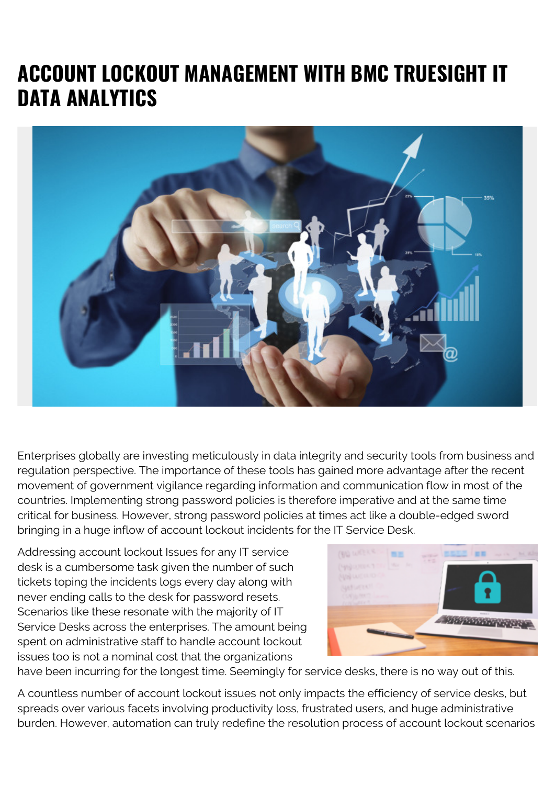# **ACCOUNT LOCKOUT MANAGEMENT WITH BMC TRUESIGHT IT DATA ANALYTICS**



Enterprises globally are investing meticulously in data integrity and security tools from business and regulation perspective. The importance of these tools has gained more advantage after the recent movement of government vigilance regarding information and communication flow in most of the countries. Implementing strong password policies is therefore imperative and at the same time critical for business. However, strong password policies at times act like a double-edged sword bringing in a huge inflow of account lockout incidents for the IT Service Desk.

Addressing account lockout Issues for any IT service desk is a cumbersome task given the number of such tickets toping the incidents logs every day along with never ending calls to the desk for password resets. Scenarios like these resonate with the majority of IT Service Desks across the enterprises. The amount being spent on administrative staff to handle account lockout issues too is not a nominal cost that the organizations



have been incurring for the longest time. Seemingly for service desks, there is no way out of this.

A countless number of account lockout issues not only impacts the efficiency of service desks, but spreads over various facets involving productivity loss, frustrated users, and huge administrative burden. However, automation can truly redefine the resolution process of account lockout scenarios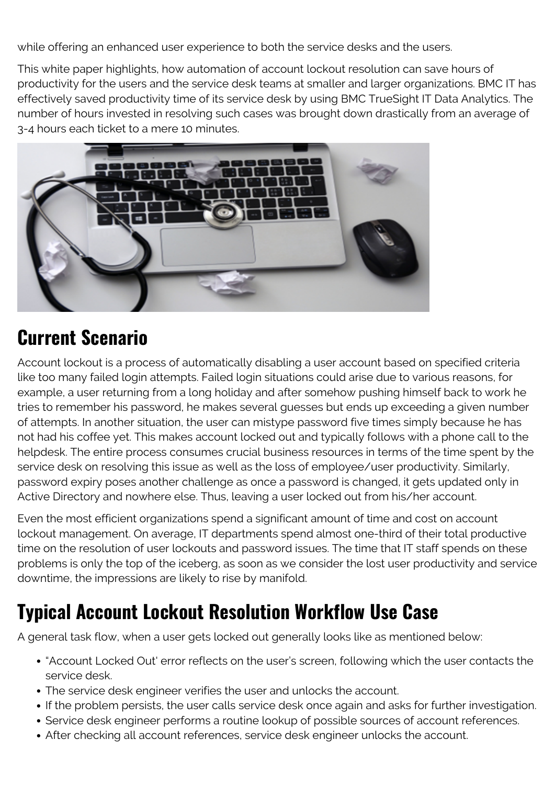while offering an enhanced user experience to both the service desks and the users.

This white paper highlights, how automation of account lockout resolution can save hours of productivity for the users and the service desk teams at smaller and larger organizations. BMC IT has effectively saved productivity time of its service desk by using BMC TrueSight IT Data Analytics. The number of hours invested in resolving such cases was brought down drastically from an average of 3-4 hours each ticket to a mere 10 minutes.



# **Current Scenario**

Account lockout is a process of automatically disabling a user account based on specified criteria like too many failed login attempts. Failed login situations could arise due to various reasons, for example, a user returning from a long holiday and after somehow pushing himself back to work he tries to remember his password, he makes several guesses but ends up exceeding a given number of attempts. In another situation, the user can mistype password five times simply because he has not had his coffee yet. This makes account locked out and typically follows with a phone call to the helpdesk. The entire process consumes crucial business resources in terms of the time spent by the service desk on resolving this issue as well as the loss of employee/user productivity. Similarly, password expiry poses another challenge as once a password is changed, it gets updated only in Active Directory and nowhere else. Thus, leaving a user locked out from his/her account.

Even the most efficient organizations spend a significant amount of time and cost on account lockout management. On average, IT departments spend almost one-third of their total productive time on the resolution of user lockouts and password issues. The time that IT staff spends on these problems is only the top of the iceberg, as soon as we consider the lost user productivity and service downtime, the impressions are likely to rise by manifold.

# **Typical Account Lockout Resolution Workflow Use Case**

A general task flow, when a user gets locked out generally looks like as mentioned below:

- "Account Locked Out' error reflects on the user's screen, following which the user contacts the service desk.
- The service desk engineer verifies the user and unlocks the account.
- If the problem persists, the user calls service desk once again and asks for further investigation.
- Service desk engineer performs a routine lookup of possible sources of account references.
- After checking all account references, service desk engineer unlocks the account.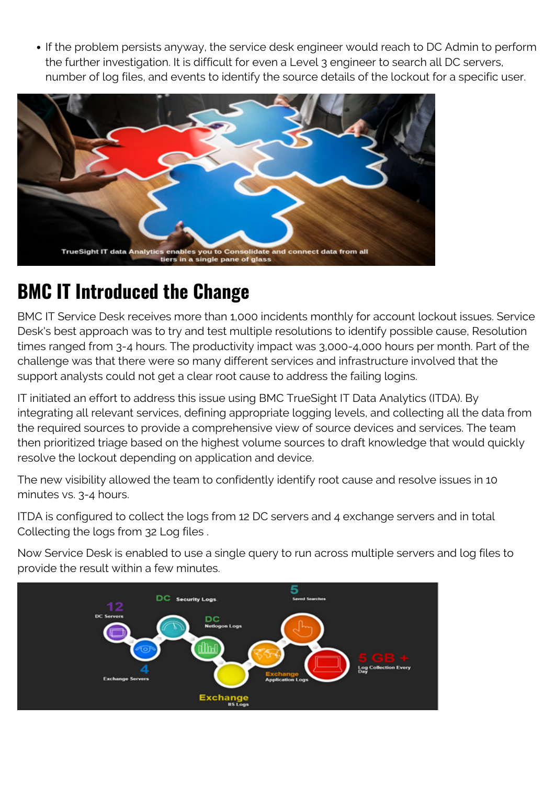If the problem persists anyway, the service desk engineer would reach to DC Admin to perform the further investigation. It is difficult for even a Level 3 engineer to search all DC servers, number of log files, and events to identify the source details of the lockout for a specific user.



#### **BMC IT Introduced the Change**

BMC IT Service Desk receives more than 1,000 incidents monthly for account lockout issues. Service Desk's best approach was to try and test multiple resolutions to identify possible cause, Resolution times ranged from 3-4 hours. The productivity impact was 3,000-4,000 hours per month. Part of the challenge was that there were so many different services and infrastructure involved that the support analysts could not get a clear root cause to address the failing logins.

IT initiated an effort to address this issue using BMC TrueSight IT Data Analytics (ITDA). By integrating all relevant services, defining appropriate logging levels, and collecting all the data from the required sources to provide a comprehensive view of source devices and services. The team then prioritized triage based on the highest volume sources to draft knowledge that would quickly resolve the lockout depending on application and device.

The new visibility allowed the team to confidently identify root cause and resolve issues in 10 minutes vs. 3-4 hours.

ITDA is configured to collect the logs from 12 DC servers and 4 exchange servers and in total Collecting the logs from 32 Log files .

Now Service Desk is enabled to use a single query to run across multiple servers and log files to provide the result within a few minutes.

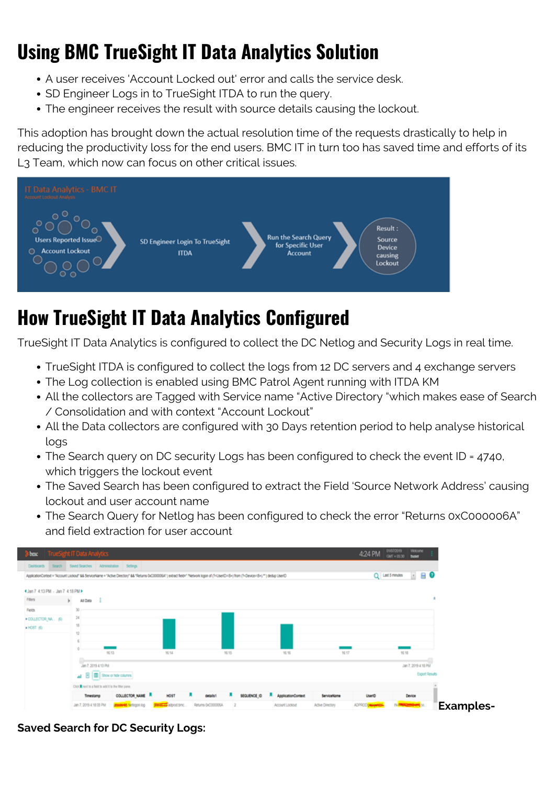# **Using BMC TrueSight IT Data Analytics Solution**

- A user receives 'Account Locked out' error and calls the service desk.
- SD Engineer Logs in to TrueSight ITDA to run the query.
- The engineer receives the result with source details causing the lockout.

This adoption has brought down the actual resolution time of the requests drastically to help in reducing the productivity loss for the end users. BMC IT in turn too has saved time and efforts of its L3 Team, which now can focus on other critical issues.



# **How TrueSight IT Data Analytics Configured**

TrueSight IT Data Analytics is configured to collect the DC Netlog and Security Logs in real time.

- TrueSight ITDA is configured to collect the logs from 12 DC servers and 4 exchange servers
- The Log collection is enabled using BMC Patrol Agent running with ITDA KM
- All the collectors are Tagged with Service name "Active Directory "which makes ease of Search / Consolidation and with context "Account Lockout"
- All the Data collectors are configured with 30 Days retention period to help analyse historical logs
- The Search query on DC security Logs has been configured to check the event ID = 4740, which triggers the lockout event
- The Saved Search has been configured to extract the Field 'Source Network Address' causing lockout and user account name
- The Search Query for Netlog has been configured to check the error "Returns 0xC000006A" and field extraction for user account



**Saved Search for DC Security Logs:**